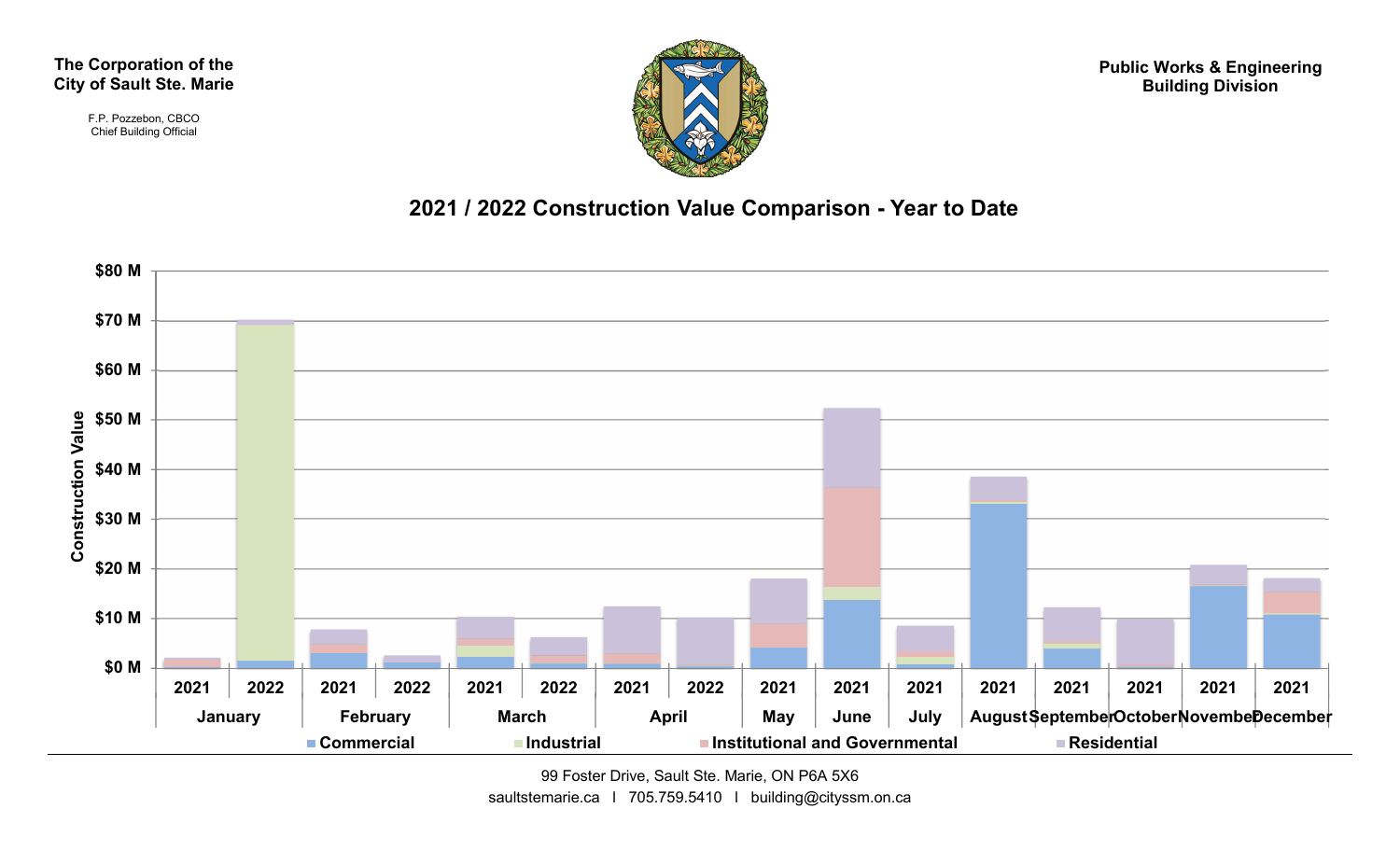The Corporation of the City of Sault Ste. Marie

> F.P. Pozzebon, CBCO Chief Building Official



Public Works & Engineering Building Division



99 Foster Drive, Sault Ste. Marie, ON P6A 5X6 saultstemarie.ca | 705.759.5410 | building@cityssm.on.ca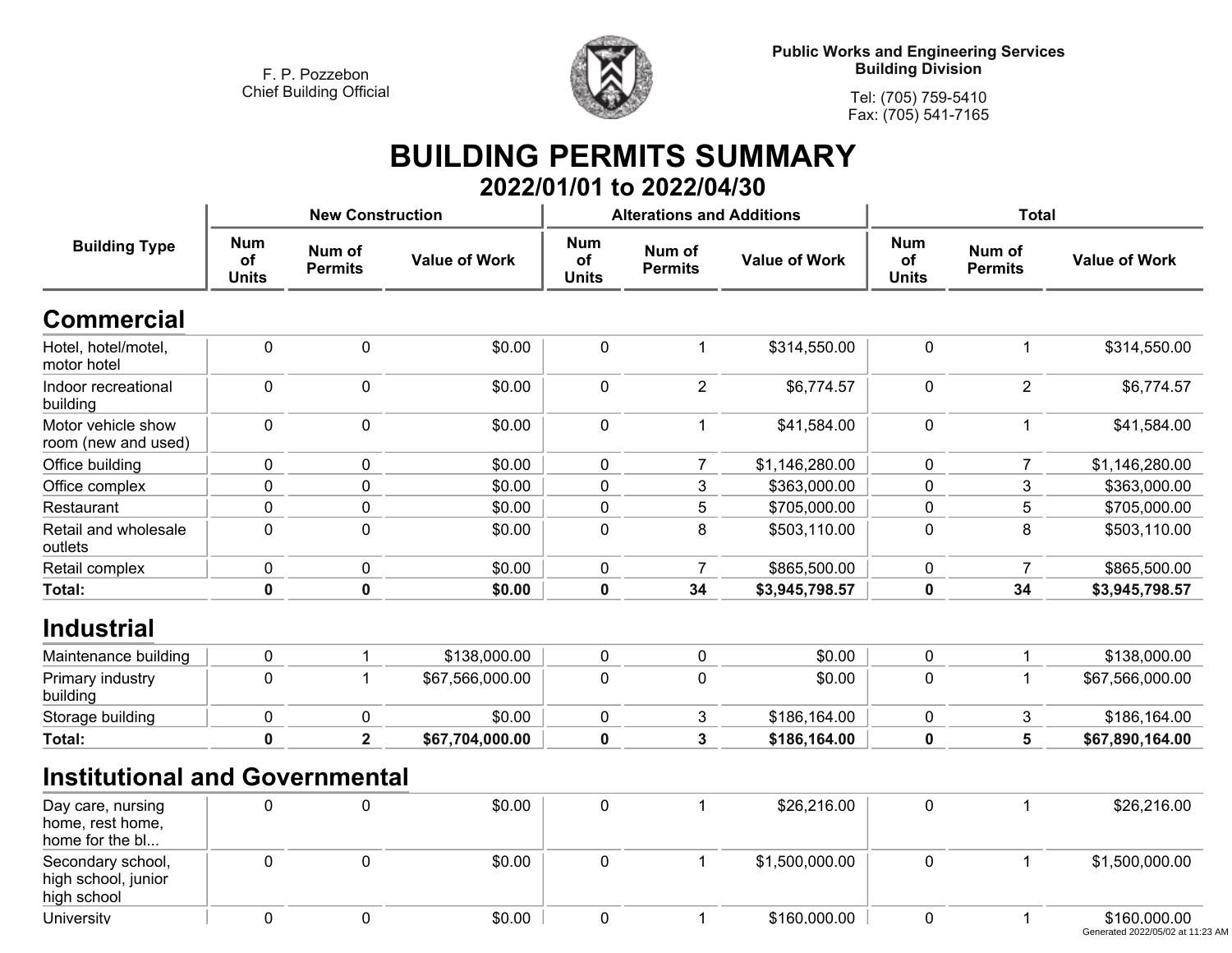**University**

**<sup>0</sup>**



**Tel: (705) 759-5410Fax: (705) 541-7165**

## **BUILDING PERMITS SUMMARY 2022/01/01 to 2022/04/30**

| <b>Building Type</b>                                     |                                  | <b>New Construction</b>  |                      |                                  | <b>Alterations and Additions</b> |                      | <b>Total</b>                     |                          |                      |
|----------------------------------------------------------|----------------------------------|--------------------------|----------------------|----------------------------------|----------------------------------|----------------------|----------------------------------|--------------------------|----------------------|
|                                                          | <b>Num</b><br>of<br><b>Units</b> | Num of<br><b>Permits</b> | <b>Value of Work</b> | <b>Num</b><br>of<br><b>Units</b> | Num of<br><b>Permits</b>         | <b>Value of Work</b> | <b>Num</b><br>of<br><b>Units</b> | Num of<br><b>Permits</b> | <b>Value of Work</b> |
| <b>Commercial</b>                                        |                                  |                          |                      |                                  |                                  |                      |                                  |                          |                      |
| Hotel, hotel/motel,<br>motor hotel                       | $\mathbf 0$                      | 0                        | \$0.00               | $\mathbf 0$                      | $\mathbf 1$                      | \$314,550.00         | $\mathbf 0$                      | $\mathbf 1$              | \$314,550.00         |
| Indoor recreational<br>building                          | $\mathbf 0$                      | 0                        | \$0.00               | $\mathbf 0$                      | $\overline{2}$                   | \$6,774.57           | $\mathbf 0$                      | $\overline{2}$           | \$6,774.57           |
| Motor vehicle show<br>room (new and used)                | $\mathbf 0$                      | 0                        | \$0.00               | $\mathbf 0$                      | $\mathbf{1}$                     | \$41,584.00          | $\mathbf 0$                      | $\mathbf 1$              | \$41,584.00          |
| Office building                                          | 0                                | $\overline{0}$           | \$0.00               | $\mathbf 0$                      | $\overline{7}$                   | \$1,146,280.00       | $\mathbf 0$                      | $\overline{7}$           | \$1,146,280.00       |
| Office complex                                           | 0                                | 0                        | \$0.00               | $\pmb{0}$                        | $\mathbf{3}$                     | \$363,000.00         | $\pmb{0}$                        | $\mathbf{3}$             | \$363,000.00         |
| Restaurant                                               | 0                                | 0                        | \$0.00               | 0                                | 5                                | \$705,000.00         | 0                                | 5                        | \$705,000.00         |
| Retail and wholesale<br>outlets                          | $\mathbf 0$                      | 0                        | \$0.00               | $\pmb{0}$                        | 8                                | \$503,110.00         | $\mathbf 0$                      | 8                        | \$503,110.00         |
| Retail complex                                           | $\pmb{0}$                        | 0                        | \$0.00               | $\pmb{0}$                        | $\overline{7}$                   | \$865,500.00         | $\pmb{0}$                        | $\overline{7}$           | \$865,500.00         |
| Total:                                                   | $\mathbf 0$                      | $\mathbf 0$              | \$0.00               | $\pmb{0}$                        | 34                               | \$3,945,798.57       | $\pmb{0}$                        | 34                       | \$3,945,798.57       |
| <b>Industrial</b>                                        |                                  |                          |                      |                                  |                                  |                      |                                  |                          |                      |
| Maintenance building                                     | $\mathbf 0$                      |                          | \$138,000.00         | $\pmb{0}$                        | $\pmb{0}$                        | \$0.00               | $\pmb{0}$                        | $\mathbf 1$              | \$138,000.00         |
| Primary industry<br>building                             | $\mathbf 0$                      | 1                        | \$67,566,000.00      | 0                                | $\mathbf 0$                      | \$0.00               | $\mathbf 0$                      | $\mathbf{1}$             | \$67,566,000.00      |
| Storage building                                         | $\pmb{0}$                        | 0                        | \$0.00               | 0                                | 3                                | \$186,164.00         | $\pmb{0}$                        | 3                        | \$186,164.00         |
| <b>Total:</b>                                            | $\bf{0}$                         | $\mathbf{2}$             | \$67,704,000.00      | $\mathbf 0$                      | 3                                | \$186,164.00         | $\mathbf 0$                      | 5                        | \$67,890,164.00      |
| <b>Institutional and Governmental</b>                    |                                  |                          |                      |                                  |                                  |                      |                                  |                          |                      |
| Day care, nursing<br>home, rest home,<br>home for the bl | 0                                | 0                        | \$0.00               | 0                                | $\mathbf 1$                      | \$26,216.00          | $\mathbf 0$                      | $\mathbf 1$              | \$26,216.00          |
| Secondary school,<br>high school, junior<br>high school  | $\mathbf 0$                      | 0                        | \$0.00               | $\pmb{0}$                        | $\mathbf{1}$                     | \$1,500,000.00       | $\mathbf 0$                      | $\mathbf{1}$             | \$1,500,000.00       |

**<sup>0</sup> \$0.00 <sup>0</sup> <sup>1</sup> \$160,000.00 <sup>0</sup> <sup>1</sup> \$160,000.00** Generated 2022/05/02 at 11:23 AM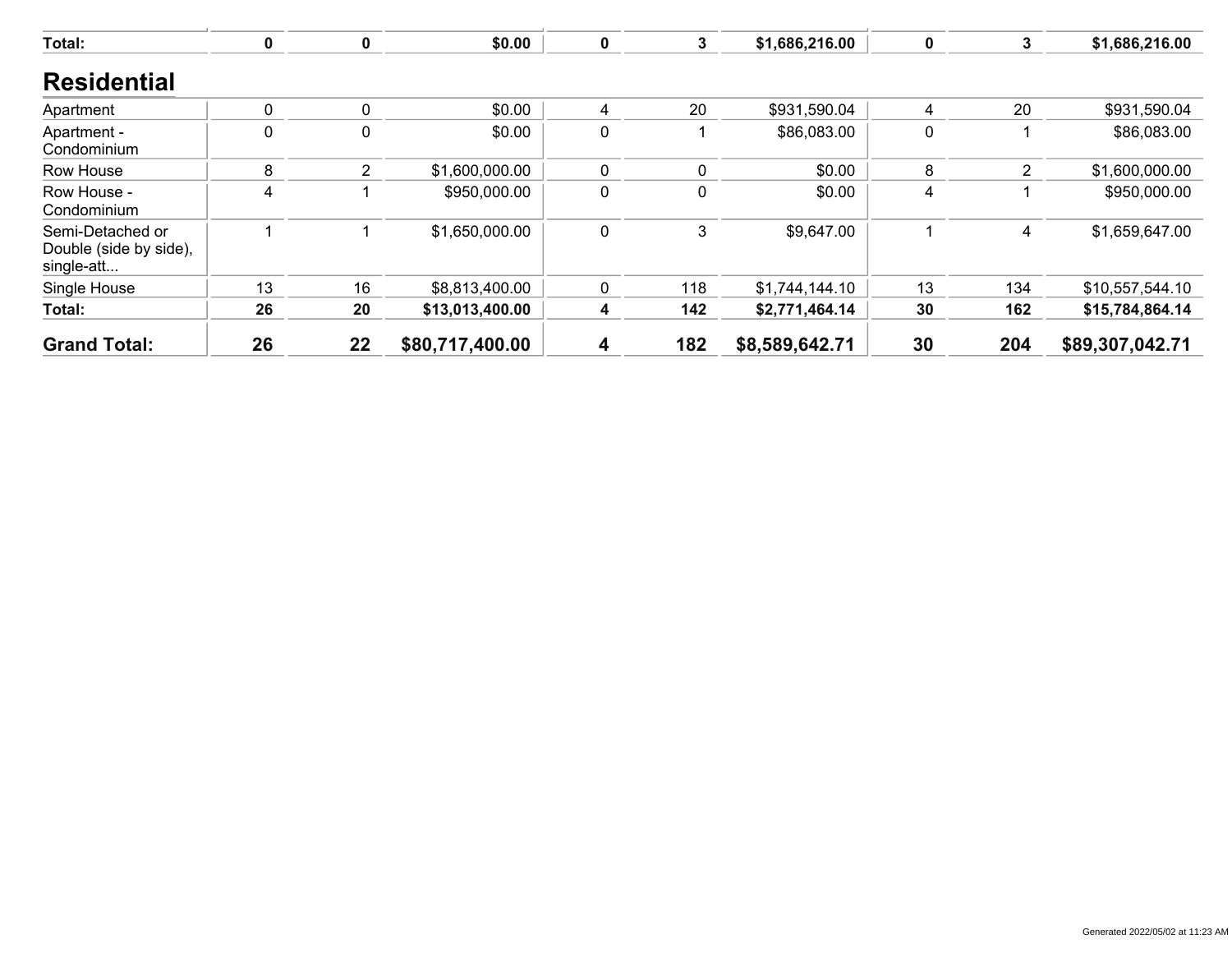| Total:                                                   | 0           |                | \$0.00          | $\mathbf 0$ | 3           | \$1,686,216.00 | 0        | 3   | \$1,686,216.00  |
|----------------------------------------------------------|-------------|----------------|-----------------|-------------|-------------|----------------|----------|-----|-----------------|
| <b>Residential</b>                                       |             |                |                 |             |             |                |          |     |                 |
| Apartment                                                | 0           | $\Omega$       | \$0.00          | 4           | 20          | \$931,590.04   | 4        | 20  | \$931,590.04    |
| Apartment -<br>Condominium                               | $\mathbf 0$ | $\Omega$       | \$0.00          | $\mathbf 0$ |             | \$86,083.00    | $\Omega$ |     | \$86,083.00     |
| Row House                                                | 8           | $\overline{2}$ | \$1,600,000.00  | $\mathbf 0$ | $\mathbf 0$ | \$0.00         | 8        | 2   | \$1,600,000.00  |
| Row House -<br>Condominium                               | 4           |                | \$950,000.00    | $\pmb{0}$   | $\mathbf 0$ | \$0.00         | 4        |     | \$950,000.00    |
| Semi-Detached or<br>Double (side by side),<br>single-att |             |                | \$1,650,000.00  | $\mathbf 0$ | 3           | \$9,647.00     |          | 4   | \$1,659,647.00  |
| Single House                                             | 13          | 16             | \$8,813,400.00  | 0           | 118         | \$1,744,144.10 | 13       | 134 | \$10,557,544.10 |
| Total:                                                   | 26          | 20             | \$13,013,400.00 | 4           | 142         | \$2,771,464.14 | 30       | 162 | \$15,784,864.14 |
| <b>Grand Total:</b>                                      | 26          | 22             | \$80,717,400.00 | 4           | 182         | \$8,589,642.71 | 30       | 204 | \$89,307,042.71 |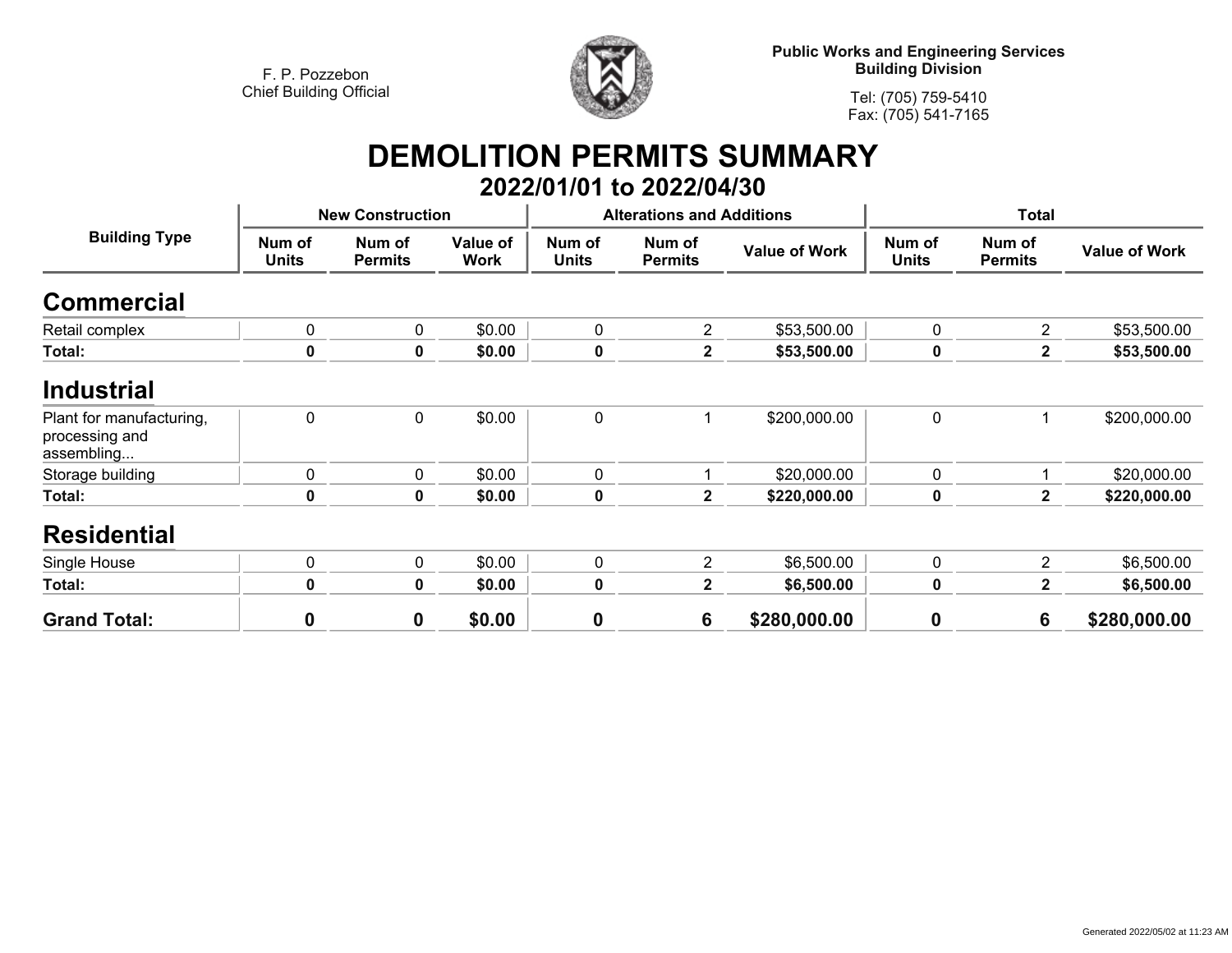

**Public Works and Engineering Services Building Division**

**Tel: (705) 759-5410Fax: (705) 541-7165**

## **DEMOLITION PERMITS SUMMARY 2022/01/01 to 2022/04/30**

| <b>Building Type</b>                                     |                        | <b>New Construction</b>  |                         |                        | <b>Alterations and Additions</b> |                      | <b>Total</b>           |                          |                      |
|----------------------------------------------------------|------------------------|--------------------------|-------------------------|------------------------|----------------------------------|----------------------|------------------------|--------------------------|----------------------|
|                                                          | Num of<br><b>Units</b> | Num of<br><b>Permits</b> | Value of<br><b>Work</b> | Num of<br><b>Units</b> | Num of<br><b>Permits</b>         | <b>Value of Work</b> | Num of<br><b>Units</b> | Num of<br><b>Permits</b> | <b>Value of Work</b> |
| <b>Commercial</b>                                        |                        |                          |                         |                        |                                  |                      |                        |                          |                      |
| Retail complex                                           | 0                      | 0                        | \$0.00                  | $\mathbf 0$            | $\overline{2}$                   | \$53,500.00          | 0                      | $\overline{2}$           | \$53,500.00          |
| Total:                                                   | 0                      | $\mathbf 0$              | \$0.00                  | 0                      | $\mathbf{2}$                     | \$53,500.00          | $\mathbf 0$            | $\mathbf{2}$             | \$53,500.00          |
| <b>Industrial</b>                                        |                        |                          |                         |                        |                                  |                      |                        |                          |                      |
| Plant for manufacturing,<br>processing and<br>assembling | $\mathbf 0$            | $\mathbf 0$              | \$0.00                  | $\mathbf 0$            |                                  | \$200,000.00         | $\mathbf 0$            |                          | \$200,000.00         |
| Storage building                                         | $\mathbf 0$            | $\mathbf 0$              | \$0.00                  | $\mathbf 0$            |                                  | \$20,000.00          | $\mathbf 0$            |                          | \$20,000.00          |
| Total:                                                   | 0                      | $\mathbf 0$              | \$0.00                  | 0                      | $\mathbf{2}$                     | \$220,000.00         | 0                      | $\mathbf{2}$             | \$220,000.00         |
| <b>Residential</b>                                       |                        |                          |                         |                        |                                  |                      |                        |                          |                      |
| Single House                                             | $\mathbf 0$            | $\mathbf 0$              | \$0.00                  | $\mathbf 0$            | $\overline{2}$                   | \$6,500.00           | $\mathbf 0$            | $\overline{2}$           | \$6,500.00           |
| Total:                                                   | $\mathbf 0$            | $\mathbf 0$              | \$0.00                  | $\mathbf 0$            | $\mathbf{2}$                     | \$6,500.00           | $\mathbf 0$            | $\mathbf{2}$             | \$6,500.00           |
| <b>Grand Total:</b>                                      | 0                      | 0                        | \$0.00                  | $\mathbf 0$            | 6                                | \$280,000.00         | $\boldsymbol{0}$       | 6                        | \$280,000.00         |